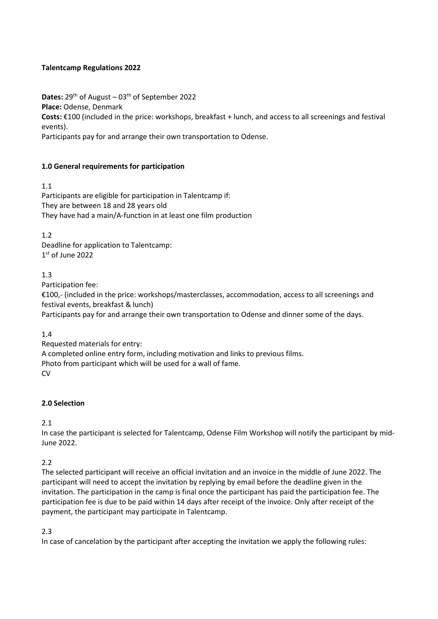## **Talentcamp Regulations 2022**

**Dates:**  $29^{th}$  of August –  $03^{th}$  of September 2022 **Place:** Odense, Denmark **Costs:** €100 (included in the price: workshops, breakfast + lunch, and access to all screenings and festival events).

Participants pay for and arrange their own transportation to Odense.

# **1.0 General requirements for participation**

1.1

Participants are eligible for participation in Talentcamp if: They are between 18 and 28 years old They have had a main/A-function in at least one film production

1.2

Deadline for application to Talentcamp: 1st of June 2022

## 1.3

Participation fee:

€100,- (included in the price: workshops/masterclasses, accommodation, access to all screenings and festival events, breakfast & lunch)

Participants pay for and arrange their own transportation to Odense and dinner some of the days.

1.4

Requested materials for entry: A completed online entry form, including motivation and links to previous films. Photo from participant which will be used for a wall of fame. **CV** 

# **2.0 Selection**

2.1

In case the participant is selected for Talentcamp, Odense Film Workshop will notify the participant by mid-June 2022.

2.2

The selected participant will receive an official invitation and an invoice in the middle of June 2022. The participant will need to accept the invitation by replying by email before the deadline given in the invitation. The participation in the camp is final once the participant has paid the participation fee. The participation fee is due to be paid within 14 days after receipt of the invoice. Only after receipt of the payment, the participant may participate in Talentcamp.

2.3

In case of cancelation by the participant after accepting the invitation we apply the following rules: